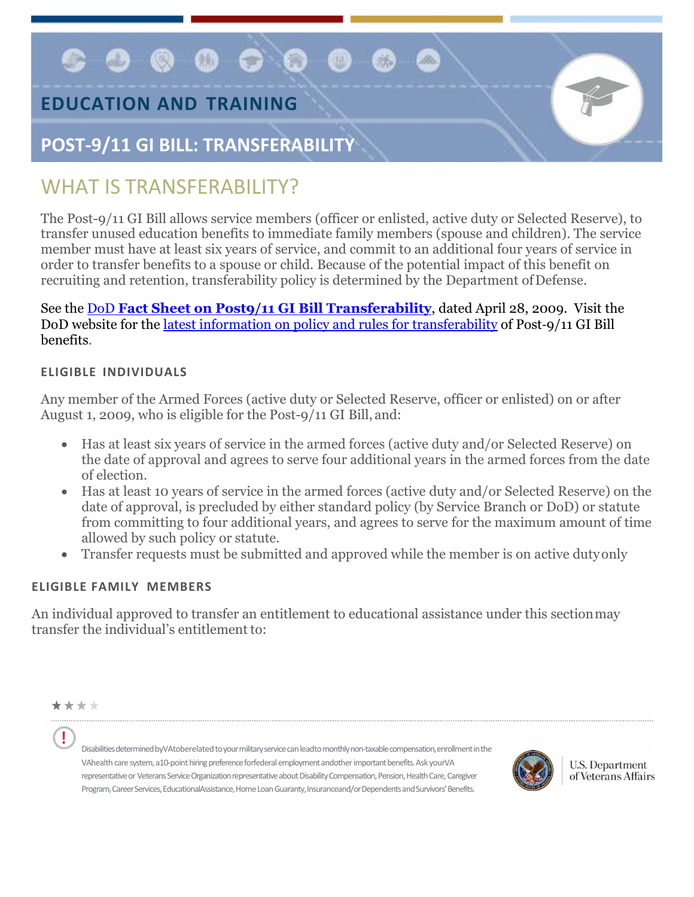$\bullet$  @ @ 0 @

## **EDUCATION AND TRAINING**

### **POST-9/11 GI BILL: TRANSFERABILITY**

# WHAT IS TRANSFFRABILITY?

The Post-9/11 GI Bill allows service members (officer or enlisted, active duty or Selected Reserve), to transfer unused education benefits to immediate family members (spouse and children). The service member must have at least six years of service, and commit to an additional four years of service in order to transfer benefits to a spouse or child. Because of the potential impact of this benefit on recruiting and retention, transferability policy is determined by the Department of Defense.

See the DoD **[Fact Sheet on Post9/11 GI Bill Transferability](http://www.defense.gov/home/features/2009/0409_gibill/Transferability%20Eligibility%20Final%20as%20of%20June%2026.doc)**, dated April 28, 2009. Visit the DoD website for the [latest information on policy and rules for transferability](http://www.defenselink.mil/home/features/2009/0409_gibill/) of Post-9/11 GI Bill benefits.

#### **ELIGIBLE INDIVIDUALS**

Any member of the Armed Forces (active duty or Selected Reserve, officer or enlisted) on or after August 1, 2009, who is eligible for the Post-9/11 GI Bill, and:

- Has at least six years of service in the armed forces (active duty and/or Selected Reserve) on the date of approval and agrees to serve four additional years in the armed forces from the date of election.
- Has at least 10 years of service in the armed forces (active duty and/or Selected Reserve) on the date of approval, is precluded by either standard policy (by Service Branch or DoD) or statute from committing to four additional years, and agrees to serve for the maximum amount of time allowed by such policy or statute.
- Transfer requests must be submitted and approved while the member is on active dutyonly

#### **ELIGIBLE FAMILY MEMBERS**

An individual approved to transfer an entitlement to educational assistance under this sectionmay transfer the individual's entitlement to:



Ţ

Disabilities determined byVAtoberelated to your military service can leadto monthly non-taxable compensation, enrollment in the VAhealth care system, a10-point hiring preference forfederal employment andother important benefits. Ask yourVA representative or Veterans Service Organization representative about Disability Compensation, Pension, Health Care, Caregiver Program, Career Services, EducationalAssistance, Home Loan Guaranty, Insuranceand/or Dependents and Survivors' Benefits.



U.S. Department of Veterans Affairs